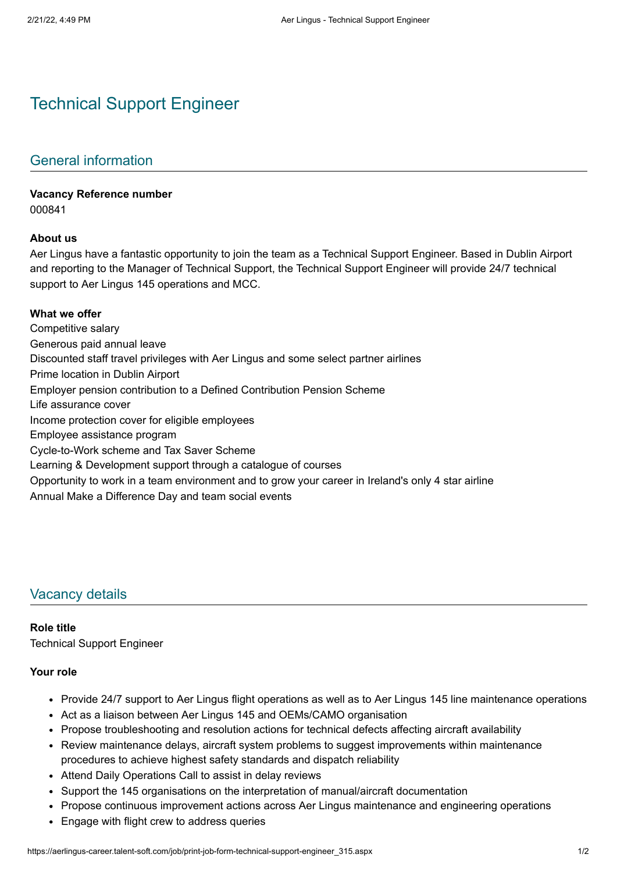# Technical Support Engineer

# General information

#### **Vacancy Reference number**

000841

#### **About us**

Aer Lingus have a fantastic opportunity to join the team as a Technical Support Engineer. Based in Dublin Airport and reporting to the Manager of Technical Support, the Technical Support Engineer will provide 24/7 technical support to Aer Lingus 145 operations and MCC.

#### **What we offer**

Competitive salary Generous paid annual leave Discounted staff travel privileges with Aer Lingus and some select partner airlines Prime location in Dublin Airport Employer pension contribution to a Defined Contribution Pension Scheme Life assurance cover Income protection cover for eligible employees Employee assistance program Cycle-to-Work scheme and Tax Saver Scheme Learning & Development support through a catalogue of courses Opportunity to work in a team environment and to grow your career in Ireland's only 4 star airline Annual Make a Difference Day and team social events

## Vacancy details

#### **Role title**

Technical Support Engineer

#### **Your role**

- Provide 24/7 support to Aer Lingus flight operations as well as to Aer Lingus 145 line maintenance operations
- Act as a liaison between Aer Lingus 145 and OEMs/CAMO organisation
- Propose troubleshooting and resolution actions for technical defects affecting aircraft availability
- Review maintenance delays, aircraft system problems to suggest improvements within maintenance procedures to achieve highest safety standards and dispatch reliability
- Attend Daily Operations Call to assist in delay reviews
- Support the 145 organisations on the interpretation of manual/aircraft documentation
- Propose continuous improvement actions across Aer Lingus maintenance and engineering operations
- Engage with flight crew to address queries